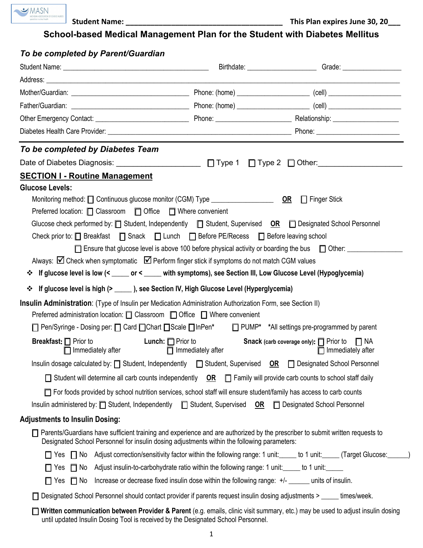

 **Student Name: \_\_\_\_\_\_\_\_\_\_\_\_\_\_\_\_\_\_\_\_\_\_\_\_\_\_\_\_\_\_\_\_\_\_\_\_\_\_ This Plan expires June 30, 20\_\_\_**

**School-based Medical Management Plan for the Student with Diabetes Mellitus** 

#### *To be completed by Parent/Guardian*

| To be completed by Diabetes Team                                                                                                                                                                                                                                                                                                                                                                                                                                                                                                                                                                                                                        |                                                                                                  |                                                                                                                                     |
|---------------------------------------------------------------------------------------------------------------------------------------------------------------------------------------------------------------------------------------------------------------------------------------------------------------------------------------------------------------------------------------------------------------------------------------------------------------------------------------------------------------------------------------------------------------------------------------------------------------------------------------------------------|--------------------------------------------------------------------------------------------------|-------------------------------------------------------------------------------------------------------------------------------------|
|                                                                                                                                                                                                                                                                                                                                                                                                                                                                                                                                                                                                                                                         |                                                                                                  |                                                                                                                                     |
| <b>SECTION I - Routine Management</b>                                                                                                                                                                                                                                                                                                                                                                                                                                                                                                                                                                                                                   |                                                                                                  |                                                                                                                                     |
| <b>Glucose Levels:</b><br>Preferred location: □ Classroom □ Office □ Where convenient<br>Glucose check performed by: $\Box$ Student, Independently $\Box$ Student, Supervised OR $\Box$ Designated School Personnel<br>Check prior to: □ Breakfast □ Snack □ Lunch □ Before PE/Recess □ Before leaving school<br>Always: $\boxtimes$ Check when symptomatic $\boxtimes$ Perform finger stick if symptoms do not match CGM values<br>If glucose level is low (< _____ or < _____ with symptoms), see Section III, Low Glucose Level (Hypoglycemia)<br>❖<br>If glucose level is high (> ______ ), see Section IV, High Glucose Level (Hyperglycemia)<br>❖ |                                                                                                  | $\Box$ Ensure that glucose level is above 100 before physical activity or boarding the bus $\Box$ Other:                            |
| Insulin Administration: (Type of Insulin per Medication Administration Authorization Form, see Section II)<br>Preferred administration location: □ Classroom □ Office □ Where convenient<br>□ Pen/Syringe - Dosing per: □ Card □ Chart □ Scale □ InPen* □ PUMP* *All settings pre-programmed by parent<br><b>Lunch:</b> $\Box$ Prior to<br><b>Breakfast:</b> $\Box$ Prior to                                                                                                                                                                                                                                                                            |                                                                                                  |                                                                                                                                     |
| $\Box$ Immediately after                                                                                                                                                                                                                                                                                                                                                                                                                                                                                                                                                                                                                                | $\Box$ Immediately after                                                                         | <b>Snack</b> (carb coverage only): $\Box$ Prior to $\Box$ NA<br>$\Box$ Immediately after                                            |
| Insulin dosage calculated by: □ Student, Independently □ Student, Supervised OR □ Designated School Personnel                                                                                                                                                                                                                                                                                                                                                                                                                                                                                                                                           |                                                                                                  |                                                                                                                                     |
| $\Box$ Student will determine all carb counts independently $\Box$ $\Box$ Family will provide carb counts to school staff daily                                                                                                                                                                                                                                                                                                                                                                                                                                                                                                                         |                                                                                                  |                                                                                                                                     |
| For foods provided by school nutrition services, school staff will ensure student/family has access to carb counts                                                                                                                                                                                                                                                                                                                                                                                                                                                                                                                                      |                                                                                                  |                                                                                                                                     |
| Insulin administered by: □ Student, Independently □ Student, Supervised OR □ Designated School Personnel                                                                                                                                                                                                                                                                                                                                                                                                                                                                                                                                                |                                                                                                  |                                                                                                                                     |
| <b>Adjustments to Insulin Dosing:</b>                                                                                                                                                                                                                                                                                                                                                                                                                                                                                                                                                                                                                   |                                                                                                  |                                                                                                                                     |
| $\Box$ Parents/Guardians have sufficient training and experience and are authorized by the prescriber to submit written requests to<br>Designated School Personnel for insulin dosing adjustments within the following parameters:                                                                                                                                                                                                                                                                                                                                                                                                                      |                                                                                                  |                                                                                                                                     |
|                                                                                                                                                                                                                                                                                                                                                                                                                                                                                                                                                                                                                                                         |                                                                                                  | □ Yes □ No Adjust correction/sensitivity factor within the following range: 1 unit: _____ to 1 unit: _____ (Target Glucose: ______) |
| □ Yes □ No Adjust insulin-to-carbohydrate ratio within the following range: 1 unit: ____ to 1 unit: _____                                                                                                                                                                                                                                                                                                                                                                                                                                                                                                                                               |                                                                                                  |                                                                                                                                     |
| $\Box$ Yes $\Box$ No                                                                                                                                                                                                                                                                                                                                                                                                                                                                                                                                                                                                                                    | Increase or decrease fixed insulin dose within the following range: +/- ______ units of insulin. |                                                                                                                                     |
| □ Designated School Personnel should contact provider if parents request insulin dosing adjustments > _____ times/week.                                                                                                                                                                                                                                                                                                                                                                                                                                                                                                                                 |                                                                                                  |                                                                                                                                     |
| until updated Insulin Dosing Tool is received by the Designated School Personnel.                                                                                                                                                                                                                                                                                                                                                                                                                                                                                                                                                                       |                                                                                                  | Written communication between Provider & Parent (e.g. emails, clinic visit summary, etc.) may be used to adjust insulin dosing      |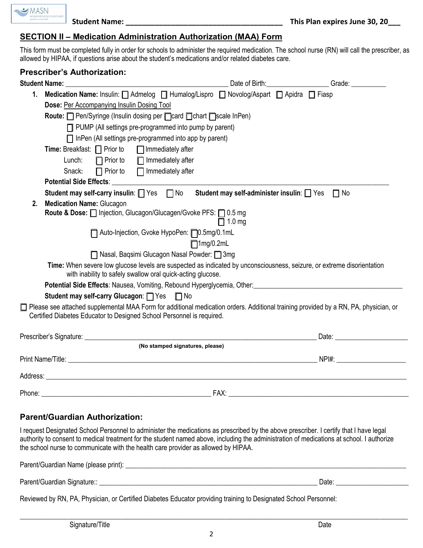$\rightarrow$  MASN

#### **SECTION II – Medication Administration Authorization (MAA) Form**

This form must be completed fully in order for schools to administer the required medication. The school nurse (RN) will call the prescriber, as allowed by HIPAA, if questions arise about the student's medications and/or related diabetes care.

|                                                                  | <b>Prescriber's Authorization:</b>                                                                                                                                                                             |                               |  |                                                                                                                                                                                                                                |  |  |
|------------------------------------------------------------------|----------------------------------------------------------------------------------------------------------------------------------------------------------------------------------------------------------------|-------------------------------|--|--------------------------------------------------------------------------------------------------------------------------------------------------------------------------------------------------------------------------------|--|--|
|                                                                  |                                                                                                                                                                                                                | Date of Birth: Date of Birth: |  | Grade: The Contract of the Contract of the Contract of the Contract of the Contract of the Contract of the Contract of the Contract of the Contract of the Contract of the Contract of the Contract of the Contract of the Con |  |  |
| 1.                                                               | Medication Name: Insulin:   Admelog   Humalog/Lispro   Novolog/Aspart   Apidra   Fiasp                                                                                                                         |                               |  |                                                                                                                                                                                                                                |  |  |
|                                                                  | <b>Dose: Per Accompanying Insulin Dosing Tool</b>                                                                                                                                                              |                               |  |                                                                                                                                                                                                                                |  |  |
| Route: Pen/Syringe (Insulin dosing per nard Dchart nscale InPen) |                                                                                                                                                                                                                |                               |  |                                                                                                                                                                                                                                |  |  |
| $\Box$ PUMP (All settings pre-programmed into pump by parent)    |                                                                                                                                                                                                                |                               |  |                                                                                                                                                                                                                                |  |  |
| $\Box$ InPen (All settings pre-programmed into app by parent)    |                                                                                                                                                                                                                |                               |  |                                                                                                                                                                                                                                |  |  |
|                                                                  | <b>Time:</b> Breakfast: $\Box$ Prior to $\Box$ Immediately after                                                                                                                                               |                               |  |                                                                                                                                                                                                                                |  |  |
|                                                                  | Lunch:<br>$\Box$ Prior to $\Box$ Immediately after                                                                                                                                                             |                               |  |                                                                                                                                                                                                                                |  |  |
|                                                                  | $\Box$ Prior to $\Box$ Immediately after<br>Snack:                                                                                                                                                             |                               |  |                                                                                                                                                                                                                                |  |  |
|                                                                  |                                                                                                                                                                                                                |                               |  |                                                                                                                                                                                                                                |  |  |
|                                                                  | Student may self-carry insulin: TVes TNo Student may self-administer insulin: TVes TNo                                                                                                                         |                               |  |                                                                                                                                                                                                                                |  |  |
| 2.                                                               | <b>Medication Name: Glucagon</b>                                                                                                                                                                               |                               |  |                                                                                                                                                                                                                                |  |  |
|                                                                  | Route & Dose:   Injection, Glucagon/Glucagen/Gvoke PFS:   0.5 mg                                                                                                                                               |                               |  |                                                                                                                                                                                                                                |  |  |
|                                                                  |                                                                                                                                                                                                                | $\Box$ 1.0 mg                 |  |                                                                                                                                                                                                                                |  |  |
|                                                                  | □ Auto-Injection, Gvoke HypoPen: □ 0.5mg/0.1mL                                                                                                                                                                 |                               |  |                                                                                                                                                                                                                                |  |  |
|                                                                  | $\Box$ 1mg/0.2mL                                                                                                                                                                                               |                               |  |                                                                                                                                                                                                                                |  |  |
|                                                                  | □ Nasal, Baqsimi Glucagon Nasal Powder: □ 3mg                                                                                                                                                                  |                               |  |                                                                                                                                                                                                                                |  |  |
|                                                                  | Time: When severe low glucose levels are suspected as indicated by unconsciousness, seizure, or extreme disorientation<br>with inability to safely swallow oral quick-acting glucose.                          |                               |  |                                                                                                                                                                                                                                |  |  |
|                                                                  | Potential Side Effects: Nausea, Vomiting, Rebound Hyperglycemia, Other: 2008. 2010. 2010. 2010. 2010. 2010. 2010                                                                                               |                               |  |                                                                                                                                                                                                                                |  |  |
|                                                                  | Student may self-carry Glucagon: TYes TNo                                                                                                                                                                      |                               |  |                                                                                                                                                                                                                                |  |  |
|                                                                  | □ Please see attached supplemental MAA Form for additional medication orders. Additional training provided by a RN, PA, physician, or<br>Certified Diabetes Educator to Designed School Personnel is required. |                               |  |                                                                                                                                                                                                                                |  |  |
|                                                                  |                                                                                                                                                                                                                |                               |  | Date: <u>University</u>                                                                                                                                                                                                        |  |  |
|                                                                  | (No stamped signatures, please)                                                                                                                                                                                |                               |  |                                                                                                                                                                                                                                |  |  |
|                                                                  |                                                                                                                                                                                                                |                               |  |                                                                                                                                                                                                                                |  |  |
|                                                                  |                                                                                                                                                                                                                |                               |  |                                                                                                                                                                                                                                |  |  |
| Phone:                                                           | FAX:                                                                                                                                                                                                           |                               |  | <u> 1989 - Jan James James Barnett, fransk politik (d. 1989)</u>                                                                                                                                                               |  |  |

#### **Parent/Guardian Authorization:**

I request Designated School Personnel to administer the medications as prescribed by the above prescriber. I certify that I have legal authority to consent to medical treatment for the student named above, including the administration of medications at school. I authorize the school nurse to communicate with the health care provider as allowed by HIPAA.

| Parent/Guardian Name (please print): |      |  |
|--------------------------------------|------|--|
| Parent/Guardian Signature:: _        | Date |  |

Reviewed by RN, PA, Physician, or Certified Diabetes Educator providing training to Designated School Personnel:

\_\_\_\_\_\_\_\_\_\_\_\_\_\_\_\_\_\_\_\_\_\_\_\_\_\_\_\_\_\_\_\_\_\_\_\_\_\_\_\_\_\_\_\_\_\_\_\_\_\_\_\_\_\_\_\_\_\_\_\_\_\_\_\_\_\_\_\_\_\_\_\_\_\_\_\_\_\_\_\_\_\_\_\_\_\_\_\_\_\_\_\_\_\_\_\_\_\_\_\_\_\_\_\_\_\_\_\_\_\_\_\_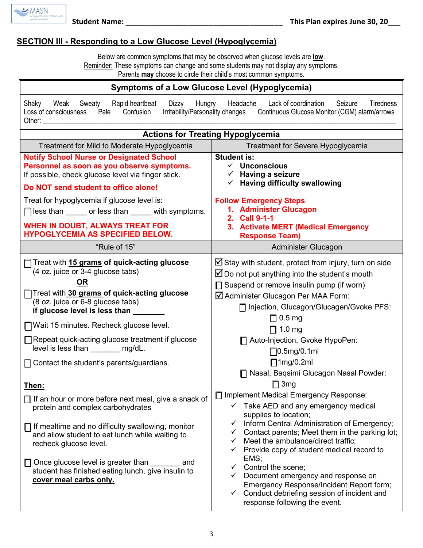

## **SECTION III - Responding to a Low Glucose Level (Hypoglycemia)**

Below are common symptoms that may be observed when glucose levels are **low**. Reminder: These symptoms can change and some students may not display any symptoms. Parents **may** choose to circle their child's most common symptoms.

| <b>Symptoms of a Low Glucose Level (Hypoglycemia)</b>                                                                                                                                                                                                                                                                                                                                                                                                                                                                                                                            |                                                                                                                                                                                                                                                                                                                                                                                                                                                                                                                              |  |  |  |
|----------------------------------------------------------------------------------------------------------------------------------------------------------------------------------------------------------------------------------------------------------------------------------------------------------------------------------------------------------------------------------------------------------------------------------------------------------------------------------------------------------------------------------------------------------------------------------|------------------------------------------------------------------------------------------------------------------------------------------------------------------------------------------------------------------------------------------------------------------------------------------------------------------------------------------------------------------------------------------------------------------------------------------------------------------------------------------------------------------------------|--|--|--|
| Headache<br>Lack of coordination<br>Weak<br>Rapid heartbeat<br>Dizzy<br>Hungry<br>Seizure<br><b>Tiredness</b><br>Shaky<br>Sweaty<br>Confusion<br>Irritability/Personality changes<br>Continuous Glucose Monitor (CGM) alarm/arrows<br>Loss of consciousness<br>Pale<br>Other: _________                                                                                                                                                                                                                                                                                          |                                                                                                                                                                                                                                                                                                                                                                                                                                                                                                                              |  |  |  |
| <b>Actions for Treating Hypoglycemia</b>                                                                                                                                                                                                                                                                                                                                                                                                                                                                                                                                         |                                                                                                                                                                                                                                                                                                                                                                                                                                                                                                                              |  |  |  |
| Treatment for Mild to Moderate Hypoglycemia                                                                                                                                                                                                                                                                                                                                                                                                                                                                                                                                      | Treatment for Severe Hypoglycemia                                                                                                                                                                                                                                                                                                                                                                                                                                                                                            |  |  |  |
| <b>Notify School Nurse or Designated School</b><br>Personnel as soon as you observe symptoms.<br>If possible, check glucose level via finger stick.<br>Do NOT send student to office alone!                                                                                                                                                                                                                                                                                                                                                                                      | <b>Student is:</b><br>$\checkmark$ Unconscious<br>$\checkmark$ Having a seizure<br>$\checkmark$ Having difficulty swallowing                                                                                                                                                                                                                                                                                                                                                                                                 |  |  |  |
| Treat for hypoglycemia if glucose level is:                                                                                                                                                                                                                                                                                                                                                                                                                                                                                                                                      | <b>Follow Emergency Steps</b><br>1. Administer Glucagon                                                                                                                                                                                                                                                                                                                                                                                                                                                                      |  |  |  |
| $\Box$ less than _______ or less than ______ with symptoms.                                                                                                                                                                                                                                                                                                                                                                                                                                                                                                                      | 2. Call 9-1-1                                                                                                                                                                                                                                                                                                                                                                                                                                                                                                                |  |  |  |
| <b>WHEN IN DOUBT, ALWAYS TREAT FOR</b><br><b>HYPOGLYCEMIA AS SPECIFIED BELOW.</b>                                                                                                                                                                                                                                                                                                                                                                                                                                                                                                | 3. Activate MERT (Medical Emergency<br><b>Response Team)</b>                                                                                                                                                                                                                                                                                                                                                                                                                                                                 |  |  |  |
| "Rule of 15"                                                                                                                                                                                                                                                                                                                                                                                                                                                                                                                                                                     | Administer Glucagon                                                                                                                                                                                                                                                                                                                                                                                                                                                                                                          |  |  |  |
| □ Treat with 15 grams of quick-acting glucose<br>(4 oz. juice or 3-4 glucose tabs)<br><u>OR</u><br>Treat with 30 grams of quick-acting glucose<br>(8 oz. juice or 6-8 glucose tabs)<br>if glucose level is less than <b>with the set of the set of the set of the set of the set of the set of the set o</b><br>□ Wait 15 minutes. Recheck glucose level.<br>□ Repeat quick-acting glucose treatment if glucose<br>level is less than ________ mg/dL.<br>$\Box$ Contact the student's parents/guardians.<br>Then:<br>$\Box$ If an hour or more before next meal, give a snack of | $\boxtimes$ Stay with student, protect from injury, turn on side<br>$\boxtimes$ Do not put anything into the student's mouth<br>□ Suspend or remove insulin pump (if worn)<br>☑ Administer Glucagon Per MAA Form:<br>□ Injection, Glucagon/Glucagen/Gvoke PFS:<br>$\Box$ 0.5 mg<br>$\Box$ 1.0 mg<br>□ Auto-Injection, Gvoke HypoPen:<br>$\Box$ 0.5mg/0.1ml<br>$\Box$ 1mg/0.2ml<br>□ Nasal, Baqsimi Glucagon Nasal Powder:<br>$\Box$ 3mg<br>□ Implement Medical Emergency Response:                                           |  |  |  |
| protein and complex carbohydrates<br>$\Box$ If mealtime and no difficulty swallowing, monitor<br>and allow student to eat lunch while waiting to<br>recheck glucose level.<br>$\Box$ Once glucose level is greater than<br>and<br>student has finished eating lunch, give insulin to<br>cover meal carbs only.                                                                                                                                                                                                                                                                   | $\checkmark$ Take AED and any emergency medical<br>supplies to location;<br>Inform Central Administration of Emergency;<br>✓<br>Contact parents; Meet them in the parking lot;<br>✓<br>Meet the ambulance/direct traffic;<br>$\checkmark$<br>Provide copy of student medical record to<br>✓<br>EMS;<br>Control the scene;<br>$\checkmark$<br>$\checkmark$ Document emergency and response on<br>Emergency Response/Incident Report form;<br>Conduct debriefing session of incident and<br>✓<br>response following the event. |  |  |  |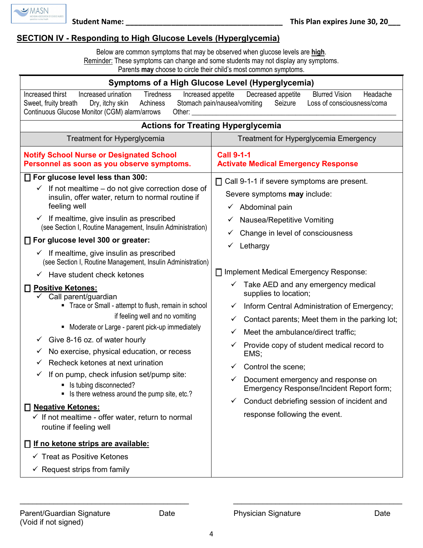

## **SECTION IV - Responding to High Glucose Levels (Hyperglycemia)**

Below are common symptoms that may be observed when glucose levels are **high**. Reminder: These symptoms can change and some students may not display any symptoms.

Parents **may** choose to circle their child's most common symptoms.

| Symptoms of a High Glucose Level (Hyperglycemia)                                                                                                                                                                                                                                                                                                                                                                                                                                     |                                                                                     |  |  |  |
|--------------------------------------------------------------------------------------------------------------------------------------------------------------------------------------------------------------------------------------------------------------------------------------------------------------------------------------------------------------------------------------------------------------------------------------------------------------------------------------|-------------------------------------------------------------------------------------|--|--|--|
| Increased thirst<br><b>Tiredness</b><br><b>Blurred Vision</b><br>Increased urination<br>Increased appetite<br>Decreased appetite<br>Headache<br>Stomach pain/nausea/vomiting<br>Seizure<br>Loss of consciousness/coma<br>Sweet, fruity breath<br>Dry, itchy skin<br>Achiness<br>Continuous Glucose Monitor (CGM) alarm/arrows<br>Other:                                                                                                                                              |                                                                                     |  |  |  |
| <b>Actions for Treating Hyperglycemia</b>                                                                                                                                                                                                                                                                                                                                                                                                                                            |                                                                                     |  |  |  |
| <b>Treatment for Hyperglycemia</b>                                                                                                                                                                                                                                                                                                                                                                                                                                                   | Treatment for Hyperglycemia Emergency                                               |  |  |  |
| <b>Notify School Nurse or Designated School</b><br>Personnel as soon as you observe symptoms.                                                                                                                                                                                                                                                                                                                                                                                        | <b>Call 9-1-1</b><br><b>Activate Medical Emergency Response</b>                     |  |  |  |
| □ For glucose level less than 300:                                                                                                                                                                                                                                                                                                                                                                                                                                                   | $\Box$ Call 9-1-1 if severe symptoms are present.                                   |  |  |  |
| If not mealtime – do not give correction dose of<br>$\checkmark$<br>insulin, offer water, return to normal routine if                                                                                                                                                                                                                                                                                                                                                                | Severe symptoms <b>may</b> include:                                                 |  |  |  |
| feeling well                                                                                                                                                                                                                                                                                                                                                                                                                                                                         | Abdominal pain<br>✓                                                                 |  |  |  |
| If mealtime, give insulin as prescribed<br>$\checkmark$                                                                                                                                                                                                                                                                                                                                                                                                                              | <b>Nausea/Repetitive Vomiting</b><br>✓                                              |  |  |  |
| (see Section I, Routine Management, Insulin Administration)                                                                                                                                                                                                                                                                                                                                                                                                                          | Change in level of consciousness<br>✓                                               |  |  |  |
| □ For glucose level 300 or greater:                                                                                                                                                                                                                                                                                                                                                                                                                                                  | Lethargy                                                                            |  |  |  |
| If mealtime, give insulin as prescribed<br>✓<br>(see Section I, Routine Management, Insulin Administration)                                                                                                                                                                                                                                                                                                                                                                          |                                                                                     |  |  |  |
| Have student check ketones<br>✓                                                                                                                                                                                                                                                                                                                                                                                                                                                      | □ Implement Medical Emergency Response:                                             |  |  |  |
| <b>Positive Ketones:</b><br>Н<br>$\checkmark$ Call parent/guardian<br>• Trace or Small - attempt to flush, remain in school<br>if feeling well and no vomiting<br>• Moderate or Large - parent pick-up immediately<br>Give 8-16 oz. of water hourly<br>✓<br>No exercise, physical education, or recess<br>✓<br>Recheck ketones at next urination<br>✓<br>If on pump, check infusion set/pump site:<br>v<br>Is tubing disconnected?<br>• Is there wetness around the pump site, etc.? | Take AED and any emergency medical<br>supplies to location;                         |  |  |  |
|                                                                                                                                                                                                                                                                                                                                                                                                                                                                                      | Inform Central Administration of Emergency;<br>✓                                    |  |  |  |
|                                                                                                                                                                                                                                                                                                                                                                                                                                                                                      | Contact parents; Meet them in the parking lot;<br>✓                                 |  |  |  |
|                                                                                                                                                                                                                                                                                                                                                                                                                                                                                      | Meet the ambulance/direct traffic;<br>✓                                             |  |  |  |
|                                                                                                                                                                                                                                                                                                                                                                                                                                                                                      | Provide copy of student medical record to<br>EMS;                                   |  |  |  |
|                                                                                                                                                                                                                                                                                                                                                                                                                                                                                      | Control the scene;<br>✓                                                             |  |  |  |
|                                                                                                                                                                                                                                                                                                                                                                                                                                                                                      | Document emergency and response on<br>✓<br>Emergency Response/Incident Report form; |  |  |  |
| <b>Negative Ketones:</b>                                                                                                                                                                                                                                                                                                                                                                                                                                                             | Conduct debriefing session of incident and<br>✓                                     |  |  |  |
| $\checkmark$ If not mealtime - offer water, return to normal<br>routine if feeling well                                                                                                                                                                                                                                                                                                                                                                                              | response following the event.                                                       |  |  |  |
| □ If no ketone strips are available:                                                                                                                                                                                                                                                                                                                                                                                                                                                 |                                                                                     |  |  |  |
| $\checkmark$ Treat as Positive Ketones                                                                                                                                                                                                                                                                                                                                                                                                                                               |                                                                                     |  |  |  |
| $\checkmark$ Request strips from family                                                                                                                                                                                                                                                                                                                                                                                                                                              |                                                                                     |  |  |  |

\_\_\_\_\_\_\_\_\_\_\_\_\_\_\_\_\_\_\_\_\_\_\_\_\_\_\_\_\_\_\_\_\_\_\_\_\_\_\_\_ \_\_\_\_\_\_\_\_\_\_\_\_\_\_\_\_\_\_\_\_\_\_\_\_\_\_\_\_\_\_\_\_\_\_\_\_\_\_\_\_